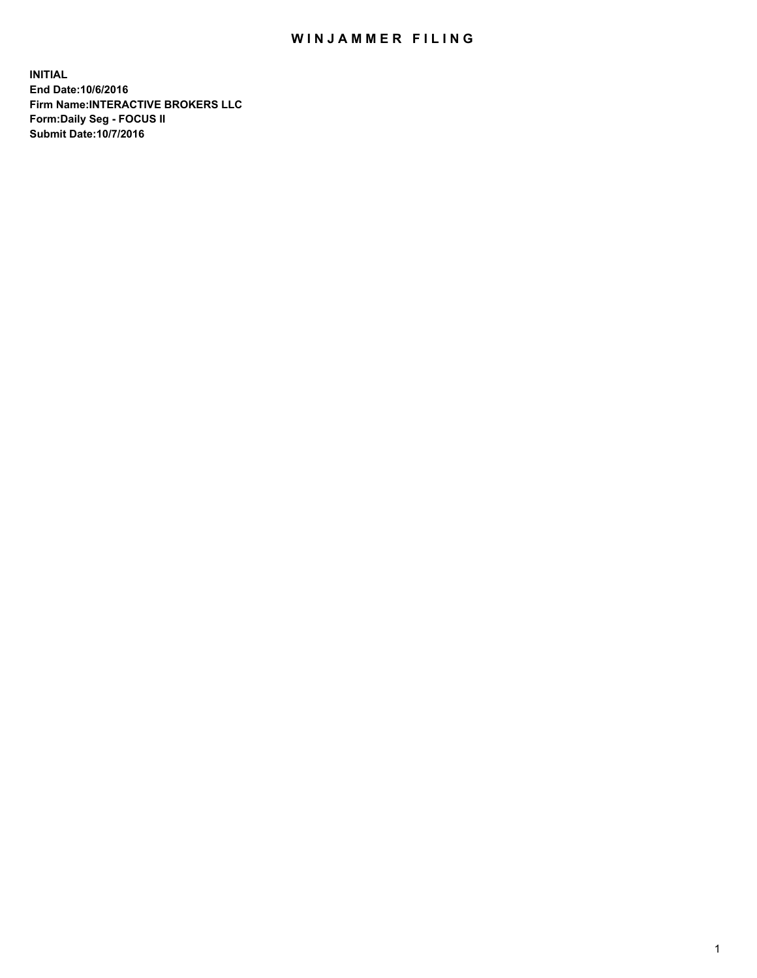## WIN JAMMER FILING

**INITIAL End Date:10/6/2016 Firm Name:INTERACTIVE BROKERS LLC Form:Daily Seg - FOCUS II Submit Date:10/7/2016**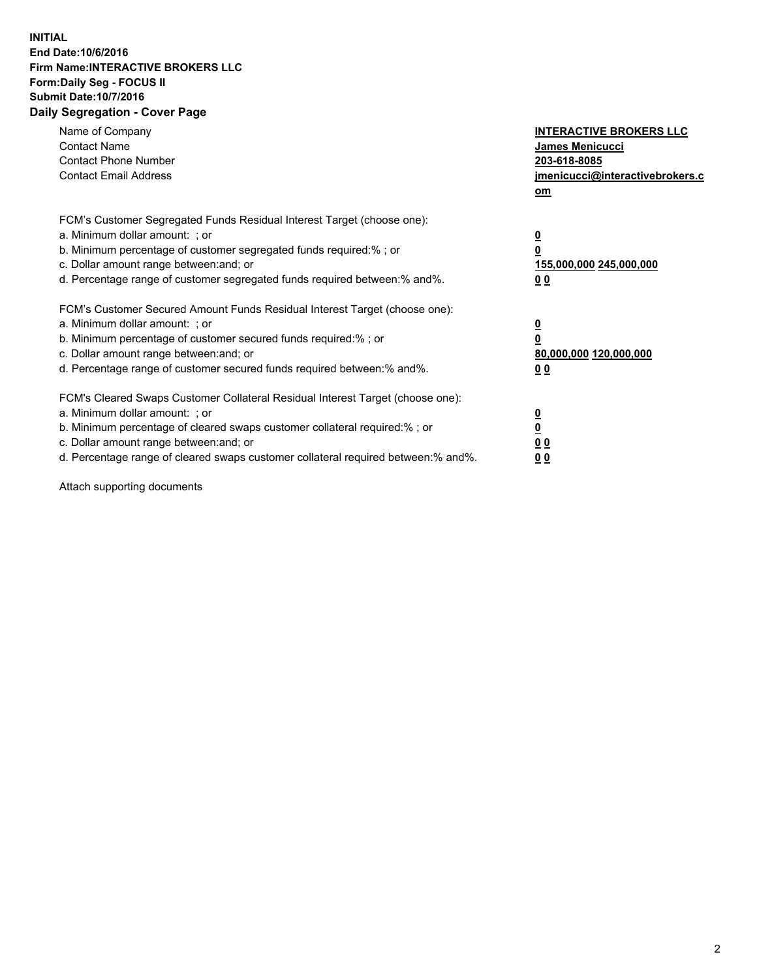## **INITIAL End Date:10/6/2016 Firm Name:INTERACTIVE BROKERS LLC Form:Daily Seg - FOCUS II Submit Date:10/7/2016 Daily Segregation - Cover Page**

| Name of Company<br><b>Contact Name</b><br><b>Contact Phone Number</b><br><b>Contact Email Address</b>                                                                                                                                                                                                                          | <b>INTERACTIVE BROKERS LLC</b><br>James Menicucci<br>203-618-8085<br>jmenicucci@interactivebrokers.c<br>om |
|--------------------------------------------------------------------------------------------------------------------------------------------------------------------------------------------------------------------------------------------------------------------------------------------------------------------------------|------------------------------------------------------------------------------------------------------------|
| FCM's Customer Segregated Funds Residual Interest Target (choose one):<br>a. Minimum dollar amount: ; or<br>b. Minimum percentage of customer segregated funds required:%; or<br>c. Dollar amount range between: and; or<br>d. Percentage range of customer segregated funds required between:% and%.                          | $\overline{\mathbf{0}}$<br>0<br>155,000,000 245,000,000<br>0 <sub>0</sub>                                  |
| FCM's Customer Secured Amount Funds Residual Interest Target (choose one):<br>a. Minimum dollar amount: ; or<br>b. Minimum percentage of customer secured funds required:%; or<br>c. Dollar amount range between: and; or<br>d. Percentage range of customer secured funds required between:% and%.                            | $\overline{\mathbf{0}}$<br>$\overline{\mathbf{0}}$<br>80,000,000 120,000,000<br>00                         |
| FCM's Cleared Swaps Customer Collateral Residual Interest Target (choose one):<br>a. Minimum dollar amount: ; or<br>b. Minimum percentage of cleared swaps customer collateral required:% ; or<br>c. Dollar amount range between: and; or<br>d. Percentage range of cleared swaps customer collateral required between:% and%. | $\overline{\mathbf{0}}$<br>$\overline{\mathbf{0}}$<br>0 <sub>0</sub><br><u>00</u>                          |

Attach supporting documents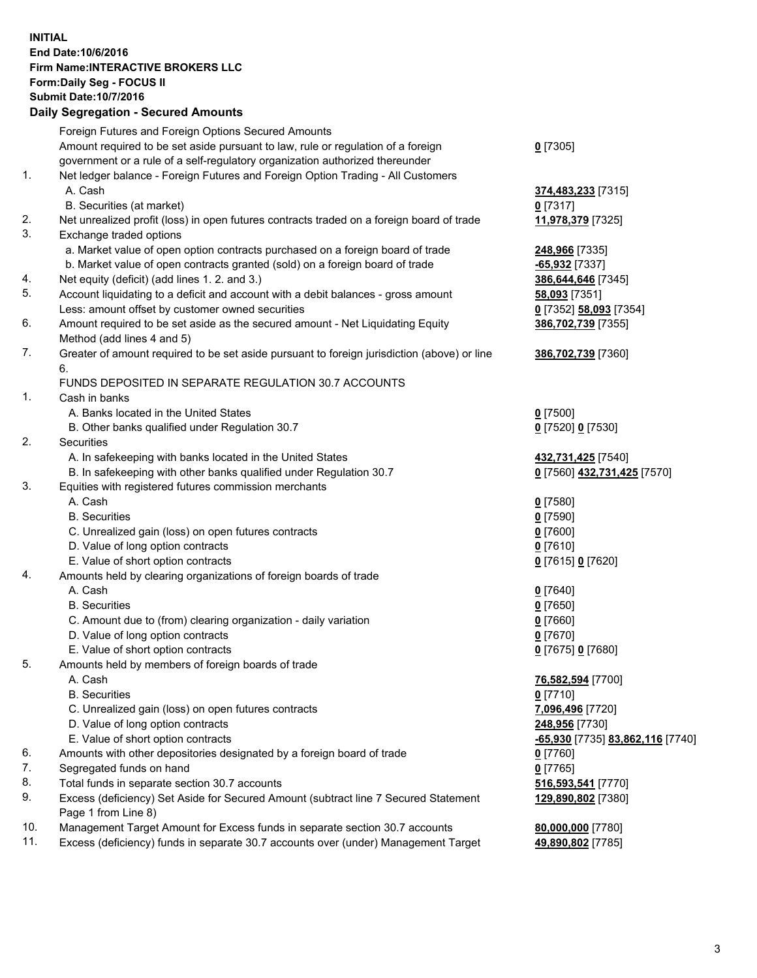## **INITIAL End Date:10/6/2016 Firm Name:INTERACTIVE BROKERS LLC Form:Daily Seg - FOCUS II Submit Date:10/7/2016 Daily Segregation - Secured Amounts**

|     | Dany Ocgregation - Oceanea Annoanta                                                                        |                                  |
|-----|------------------------------------------------------------------------------------------------------------|----------------------------------|
|     | Foreign Futures and Foreign Options Secured Amounts                                                        |                                  |
|     | Amount required to be set aside pursuant to law, rule or regulation of a foreign                           | $0$ [7305]                       |
|     | government or a rule of a self-regulatory organization authorized thereunder                               |                                  |
| 1.  | Net ledger balance - Foreign Futures and Foreign Option Trading - All Customers                            |                                  |
|     | A. Cash                                                                                                    | 374,483,233 [7315]               |
|     | B. Securities (at market)                                                                                  | 0 [7317]                         |
| 2.  | Net unrealized profit (loss) in open futures contracts traded on a foreign board of trade                  | 11,978,379 [7325]                |
| 3.  | Exchange traded options                                                                                    |                                  |
|     | a. Market value of open option contracts purchased on a foreign board of trade                             | 248,966 [7335]                   |
|     | b. Market value of open contracts granted (sold) on a foreign board of trade                               | $-65,932$ [7337]                 |
| 4.  | Net equity (deficit) (add lines 1.2. and 3.)                                                               | 386,644,646 [7345]               |
| 5.  | Account liquidating to a deficit and account with a debit balances - gross amount                          | <b>58,093</b> [7351]             |
|     | Less: amount offset by customer owned securities                                                           | 0 [7352] 58,093 [7354]           |
| 6.  | Amount required to be set aside as the secured amount - Net Liquidating Equity                             | 386,702,739 [7355]               |
|     | Method (add lines 4 and 5)                                                                                 |                                  |
| 7.  | Greater of amount required to be set aside pursuant to foreign jurisdiction (above) or line                | 386,702,739 [7360]               |
|     | 6.                                                                                                         |                                  |
|     | FUNDS DEPOSITED IN SEPARATE REGULATION 30.7 ACCOUNTS                                                       |                                  |
| 1.  | Cash in banks                                                                                              |                                  |
|     | A. Banks located in the United States                                                                      | $0$ [7500]                       |
|     | B. Other banks qualified under Regulation 30.7                                                             | 0 [7520] 0 [7530]                |
| 2.  | Securities                                                                                                 |                                  |
|     | A. In safekeeping with banks located in the United States                                                  | 432,731,425 [7540]               |
|     | B. In safekeeping with other banks qualified under Regulation 30.7                                         | 0 [7560] 432,731,425 [7570]      |
| 3.  | Equities with registered futures commission merchants                                                      |                                  |
|     | A. Cash                                                                                                    | $0$ [7580]                       |
|     | <b>B.</b> Securities                                                                                       | $0$ [7590]                       |
|     | C. Unrealized gain (loss) on open futures contracts                                                        | $0$ [7600]                       |
|     | D. Value of long option contracts                                                                          | $0$ [7610]                       |
|     | E. Value of short option contracts                                                                         | 0 [7615] 0 [7620]                |
| 4.  | Amounts held by clearing organizations of foreign boards of trade                                          |                                  |
|     | A. Cash                                                                                                    | $0$ [7640]                       |
|     | <b>B.</b> Securities                                                                                       | $0$ [7650]                       |
|     | C. Amount due to (from) clearing organization - daily variation                                            | $0$ [7660]                       |
|     | D. Value of long option contracts                                                                          | $0$ [7670]                       |
|     | E. Value of short option contracts                                                                         | 0 [7675] 0 [7680]                |
| 5.  | Amounts held by members of foreign boards of trade                                                         |                                  |
|     | A. Cash                                                                                                    | 76,582,594 [7700]                |
|     | <b>B.</b> Securities                                                                                       | $0$ [7710]                       |
|     | C. Unrealized gain (loss) on open futures contracts                                                        | 7,096,496 [7720]                 |
|     | D. Value of long option contracts                                                                          | 248,956 [7730]                   |
|     | E. Value of short option contracts                                                                         | -65,930 [7735] 83,862,116 [7740] |
| 6.  | Amounts with other depositories designated by a foreign board of trade                                     | $0$ [7760]                       |
| 7.  | Segregated funds on hand                                                                                   | $0$ [7765]                       |
| 8.  | Total funds in separate section 30.7 accounts                                                              | 516,593,541 [7770]               |
| 9.  | Excess (deficiency) Set Aside for Secured Amount (subtract line 7 Secured Statement<br>Page 1 from Line 8) | 129,890,802 [7380]               |
| 10. | Management Target Amount for Excess funds in separate section 30.7 accounts                                | 80,000,000 [7780]                |
| 11. | Excess (deficiency) funds in separate 30.7 accounts over (under) Management Target                         | 49,890,802 [7785]                |
|     |                                                                                                            |                                  |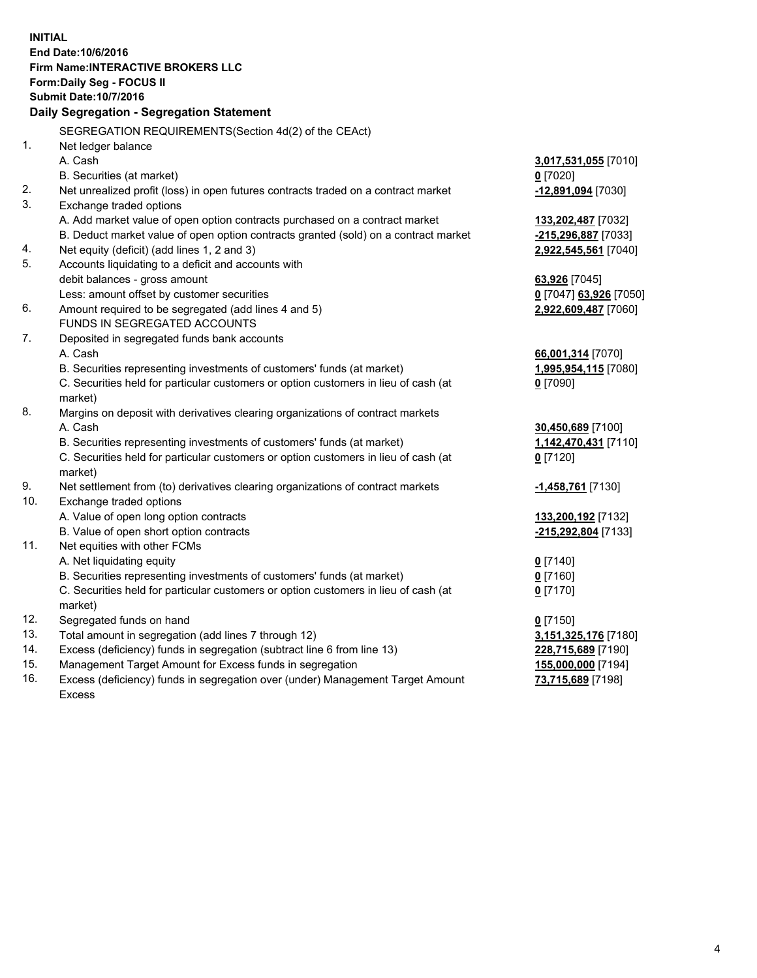**INITIAL End Date:10/6/2016 Firm Name:INTERACTIVE BROKERS LLC Form:Daily Seg - FOCUS II Submit Date:10/7/2016 Daily Segregation - Segregation Statement** SEGREGATION REQUIREMENTS(Section 4d(2) of the CEAct) 1. Net ledger balance A. Cash **3,017,531,055** [7010] B. Securities (at market) **0** [7020] 2. Net unrealized profit (loss) in open futures contracts traded on a contract market **-12,891,094** [7030] 3. Exchange traded options A. Add market value of open option contracts purchased on a contract market **133,202,487** [7032] B. Deduct market value of open option contracts granted (sold) on a contract market **-215,296,887** [7033] 4. Net equity (deficit) (add lines 1, 2 and 3) **2,922,545,561** [7040] 5. Accounts liquidating to a deficit and accounts with debit balances - gross amount **63,926** [7045] Less: amount offset by customer securities **0** [7047] **63,926** [7050] 6. Amount required to be segregated (add lines 4 and 5) **2,922,609,487** [7060] FUNDS IN SEGREGATED ACCOUNTS 7. Deposited in segregated funds bank accounts A. Cash **66,001,314** [7070] B. Securities representing investments of customers' funds (at market) **1,995,954,115** [7080] C. Securities held for particular customers or option customers in lieu of cash (at market) **0** [7090] 8. Margins on deposit with derivatives clearing organizations of contract markets A. Cash **30,450,689** [7100] B. Securities representing investments of customers' funds (at market) **1,142,470,431** [7110] C. Securities held for particular customers or option customers in lieu of cash (at market) **0** [7120] 9. Net settlement from (to) derivatives clearing organizations of contract markets **-1,458,761** [7130] 10. Exchange traded options A. Value of open long option contracts **133,200,192** [7132] B. Value of open short option contracts **-215,292,804** [7133] 11. Net equities with other FCMs A. Net liquidating equity **0** [7140] B. Securities representing investments of customers' funds (at market) **0** [7160] C. Securities held for particular customers or option customers in lieu of cash (at market) **0** [7170] 12. Segregated funds on hand **0** [7150] 13. Total amount in segregation (add lines 7 through 12) **3,151,325,176** [7180] 14. Excess (deficiency) funds in segregation (subtract line 6 from line 13) **228,715,689** [7190] 15. Management Target Amount for Excess funds in segregation **155,000,000** [7194] **73,715,689** [7198]

16. Excess (deficiency) funds in segregation over (under) Management Target Amount Excess